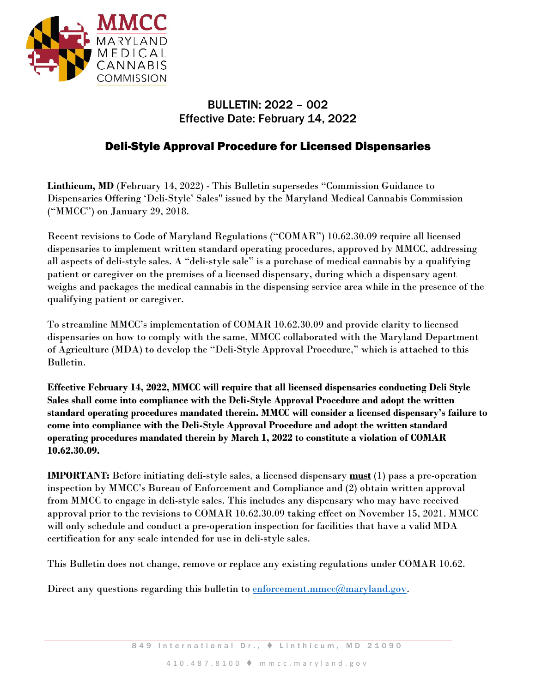

# BULLETIN: 2022 – 002 Effective Date: February 14, 2022

# Deli-Style Approval Procedure for Licensed Dispensaries

**Linthicum, MD** (February 14, 2022) - This Bulletin supersedes "Commission Guidance to Dispensaries Offering 'Deli-Style' Sales" issued by the Maryland Medical Cannabis Commission ("MMCC") on January 29, 2018.

Recent revisions to Code of Maryland Regulations ("COMAR") 10.62.30.09 require all licensed dispensaries to implement written standard operating procedures, approved by MMCC, addressing all aspects of deli-style sales. A "deli-style sale" is a purchase of medical cannabis by a qualifying patient or caregiver on the premises of a licensed dispensary, during which a dispensary agent weighs and packages the medical cannabis in the dispensing service area while in the presence of the qualifying patient or caregiver.

To streamline MMCC's implementation of COMAR 10.62.30.09 and provide clarity to licensed dispensaries on how to comply with the same, MMCC collaborated with the Maryland Department of Agriculture (MDA) to develop the "Deli-Style Approval Procedure," which is attached to this Bulletin.

**Effective February 14, 2022, MMCC will require that all licensed dispensaries conducting Deli Style Sales shall come into compliance with the Deli-Style Approval Procedure and adopt the written standard operating procedures mandated therein. MMCC will consider a licensed dispensary's failure to come into compliance with the Deli-Style Approval Procedure and adopt the written standard operating procedures mandated therein by March 1, 2022 to constitute a violation of COMAR 10.62.30.09.**

**IMPORTANT:** Before initiating deli-style sales, a licensed dispensary **must** (1) pass a pre-operation inspection by MMCC's Bureau of Enforcement and Compliance and (2) obtain written approval from MMCC to engage in deli-style sales. This includes any dispensary who may have received approval prior to the revisions to COMAR 10.62.30.09 taking effect on November 15, 2021. MMCC will only schedule and conduct a pre-operation inspection for facilities that have a valid MDA certification for any scale intended for use in deli-style sales.

This Bulletin does not change, remove or replace any existing regulations under COMAR 10.62.

Direct any questions regarding this bulletin to [enforcement.mmcc@maryland.gov.](mailto:enforcement.mmcc@maryland.gov)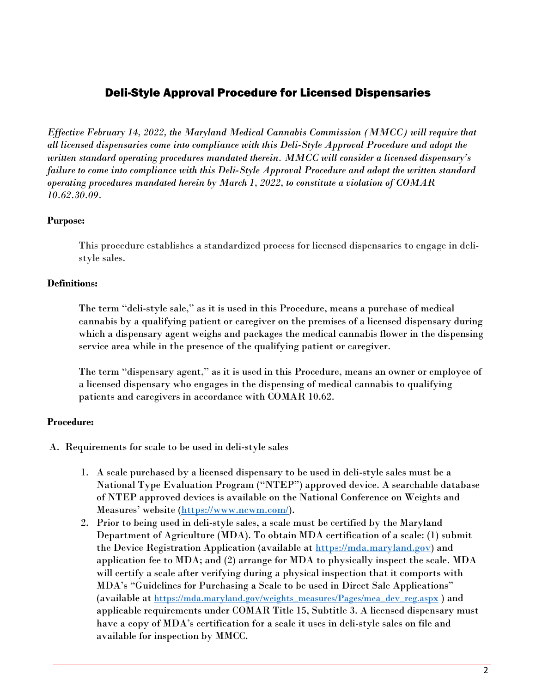### Deli-Style Approval Procedure for Licensed Dispensaries

*Effective February 14, 2022, the Maryland Medical Cannabis Commission (MMCC) will require that all licensed dispensaries come into compliance with this Deli-Style Approval Procedure and adopt the written standard operating procedures mandated therein. MMCC will consider a licensed dispensary's failure to come into compliance with this Deli-Style Approval Procedure and adopt the written standard operating procedures mandated herein by March 1, 2022, to constitute a violation of COMAR 10.62.30.09.*

#### **Purpose:**

This procedure establishes a standardized process for licensed dispensaries to engage in delistyle sales.

#### **Definitions:**

The term "deli-style sale," as it is used in this Procedure, means a purchase of medical cannabis by a qualifying patient or caregiver on the premises of a licensed dispensary during which a dispensary agent weighs and packages the medical cannabis flower in the dispensing service area while in the presence of the qualifying patient or caregiver.

The term "dispensary agent," as it is used in this Procedure, means an owner or employee of a licensed dispensary who engages in the dispensing of medical cannabis to qualifying patients and caregivers in accordance with COMAR 10.62.

### **Procedure:**

- A. Requirements for scale to be used in deli-style sales
	- 1. A scale purchased by a licensed dispensary to be used in deli-style sales must be a National Type Evaluation Program ("NTEP") approved device. A searchable database of NTEP approved devices is available on the National Conference on Weights and Measures' website [\(https://www.ncwm.com/\)](https://www.ncwm.com/).
	- 2. Prior to being used in deli-style sales, a scale must be certified by the Maryland Department of Agriculture (MDA). To obtain MDA certification of a scale: (1) submit the Device Registration Application (available at [https://mda.maryland.gov\)](https://mda.maryland.gov/) and application fee to MDA; and (2) arrange for MDA to physically inspect the scale. MDA will certify a scale after verifying during a physical inspection that it comports with MDA's "Guidelines for Purchasing a Scale to be used in Direct Sale Applications" (available at [https://mda.maryland.gov/weights\\_measures/Pages/mea\\_dev\\_reg.aspx](https://mda.maryland.gov/weights_measures/Pages/mea_dev_reg.aspx) ) and applicable requirements under COMAR Title 15, Subtitle 3. A licensed dispensary must have a copy of MDA's certification for a scale it uses in deli-style sales on file and available for inspection by MMCC.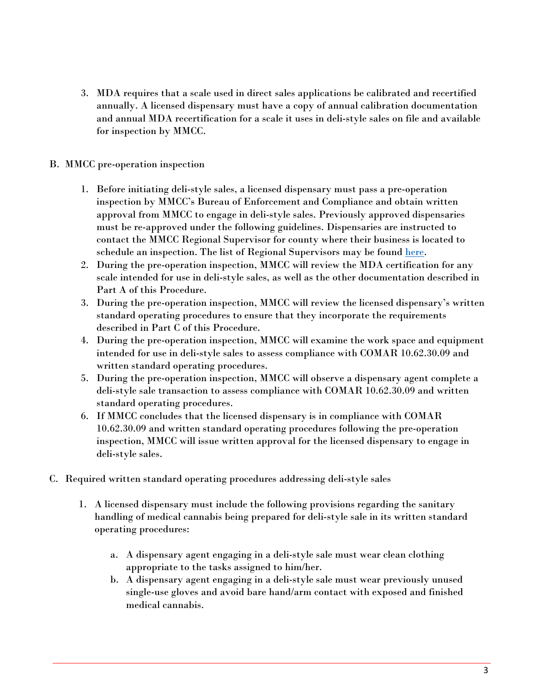3. MDA requires that a scale used in direct sales applications be calibrated and recertified annually. A licensed dispensary must have a copy of annual calibration documentation and annual MDA recertification for a scale it uses in deli-style sales on file and available for inspection by MMCC.

#### B. MMCC pre-operation inspection

- 1. Before initiating deli-style sales, a licensed dispensary must pass a pre-operation inspection by MMCC's Bureau of Enforcement and Compliance and obtain written approval from MMCC to engage in deli-style sales. Previously approved dispensaries must be re-approved under the following guidelines. Dispensaries are instructed to contact the MMCC Regional Supervisor for county where their business is located to schedule an inspection. The list of Regional Supervisors may be found [here.](https://mmcc.maryland.gov/Pages/aboutus.aspx)
- 2. During the pre-operation inspection, MMCC will review the MDA certification for any scale intended for use in deli-style sales, as well as the other documentation described in Part A of this Procedure.
- 3. During the pre-operation inspection, MMCC will review the licensed dispensary's written standard operating procedures to ensure that they incorporate the requirements described in Part C of this Procedure.
- 4. During the pre-operation inspection, MMCC will examine the work space and equipment intended for use in deli-style sales to assess compliance with COMAR 10.62.30.09 and written standard operating procedures.
- 5. During the pre-operation inspection, MMCC will observe a dispensary agent complete a deli-style sale transaction to assess compliance with COMAR 10.62.30.09 and written standard operating procedures.
- 6. If MMCC concludes that the licensed dispensary is in compliance with COMAR 10.62.30.09 and written standard operating procedures following the pre-operation inspection, MMCC will issue written approval for the licensed dispensary to engage in deli-style sales.
- C. Required written standard operating procedures addressing deli-style sales
	- 1. A licensed dispensary must include the following provisions regarding the sanitary handling of medical cannabis being prepared for deli-style sale in its written standard operating procedures:
		- a. A dispensary agent engaging in a deli-style sale must wear clean clothing appropriate to the tasks assigned to him/her.
		- b. A dispensary agent engaging in a deli-style sale must wear previously unused single-use gloves and avoid bare hand/arm contact with exposed and finished medical cannabis.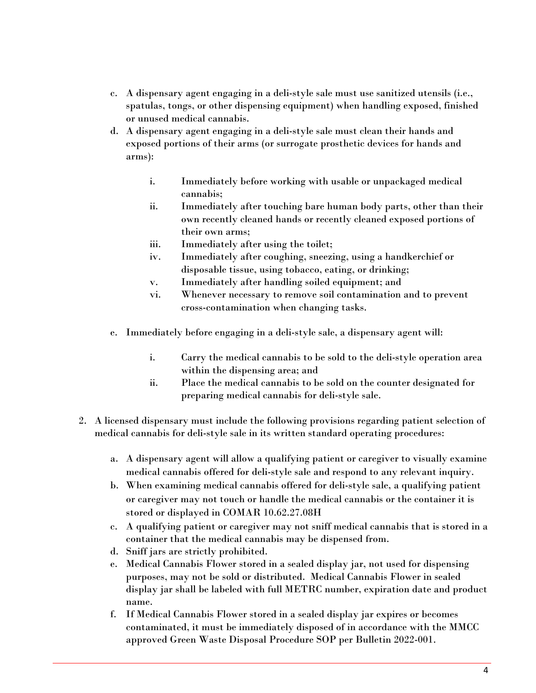- c. A dispensary agent engaging in a deli-style sale must use sanitized utensils (i.e., spatulas, tongs, or other dispensing equipment) when handling exposed, finished or unused medical cannabis.
- d. A dispensary agent engaging in a deli-style sale must clean their hands and exposed portions of their arms (or surrogate prosthetic devices for hands and arms):
	- i. Immediately before working with usable or unpackaged medical cannabis;
	- ii. Immediately after touching bare human body parts, other than their own recently cleaned hands or recently cleaned exposed portions of their own arms;
	- iii. Immediately after using the toilet;
	- iv. Immediately after coughing, sneezing, using a handkerchief or disposable tissue, using tobacco, eating, or drinking;
	- v. Immediately after handling soiled equipment; and
	- vi. Whenever necessary to remove soil contamination and to prevent cross-contamination when changing tasks.
- e. Immediately before engaging in a deli-style sale, a dispensary agent will:
	- i. Carry the medical cannabis to be sold to the deli-style operation area within the dispensing area; and
	- ii. Place the medical cannabis to be sold on the counter designated for preparing medical cannabis for deli-style sale.
- 2. A licensed dispensary must include the following provisions regarding patient selection of medical cannabis for deli-style sale in its written standard operating procedures:
	- a. A dispensary agent will allow a qualifying patient or caregiver to visually examine medical cannabis offered for deli-style sale and respond to any relevant inquiry.
	- b. When examining medical cannabis offered for deli-style sale, a qualifying patient or caregiver may not touch or handle the medical cannabis or the container it is stored or displayed in COMAR 10.62.27.08H
	- c. A qualifying patient or caregiver may not sniff medical cannabis that is stored in a container that the medical cannabis may be dispensed from.
	- d. Sniff jars are strictly prohibited.
	- e. Medical Cannabis Flower stored in a sealed display jar, not used for dispensing purposes, may not be sold or distributed. Medical Cannabis Flower in sealed display jar shall be labeled with full METRC number, expiration date and product name.
	- f. If Medical Cannabis Flower stored in a sealed display jar expires or becomes contaminated, it must be immediately disposed of in accordance with the MMCC approved Green Waste Disposal Procedure SOP per Bulletin 2022-001.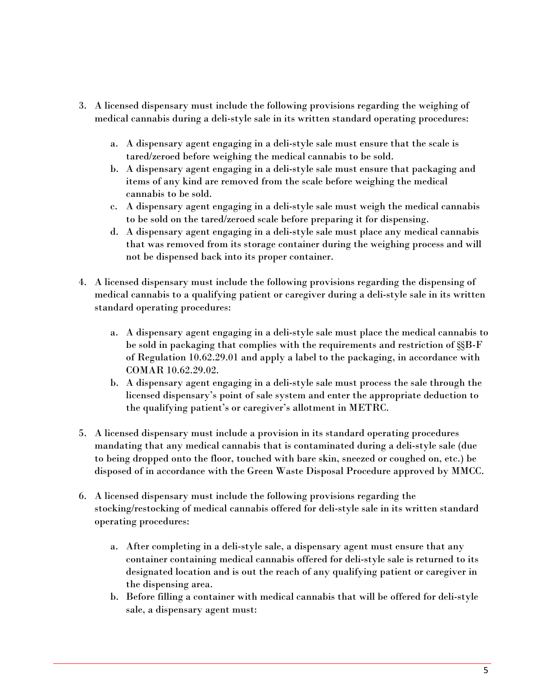- 3. A licensed dispensary must include the following provisions regarding the weighing of medical cannabis during a deli-style sale in its written standard operating procedures:
	- a. A dispensary agent engaging in a deli-style sale must ensure that the scale is tared/zeroed before weighing the medical cannabis to be sold.
	- b. A dispensary agent engaging in a deli-style sale must ensure that packaging and items of any kind are removed from the scale before weighing the medical cannabis to be sold.
	- c. A dispensary agent engaging in a deli-style sale must weigh the medical cannabis to be sold on the tared/zeroed scale before preparing it for dispensing.
	- d. A dispensary agent engaging in a deli-style sale must place any medical cannabis that was removed from its storage container during the weighing process and will not be dispensed back into its proper container.
- 4. A licensed dispensary must include the following provisions regarding the dispensing of medical cannabis to a qualifying patient or caregiver during a deli-style sale in its written standard operating procedures:
	- a. A dispensary agent engaging in a deli-style sale must place the medical cannabis to be sold in packaging that complies with the requirements and restriction of §§B-F of Regulation 10.62.29.01 and apply a label to the packaging, in accordance with COMAR 10.62.29.02.
	- b. A dispensary agent engaging in a deli-style sale must process the sale through the licensed dispensary's point of sale system and enter the appropriate deduction to the qualifying patient's or caregiver's allotment in METRC.
- 5. A licensed dispensary must include a provision in its standard operating procedures mandating that any medical cannabis that is contaminated during a deli-style sale (due to being dropped onto the floor, touched with bare skin, sneezed or coughed on, etc.) be disposed of in accordance with the Green Waste Disposal Procedure approved by MMCC.
- 6. A licensed dispensary must include the following provisions regarding the stocking/restocking of medical cannabis offered for deli-style sale in its written standard operating procedures:
	- a. After completing in a deli-style sale, a dispensary agent must ensure that any container containing medical cannabis offered for deli-style sale is returned to its designated location and is out the reach of any qualifying patient or caregiver in the dispensing area.
	- b. Before filling a container with medical cannabis that will be offered for deli-style sale, a dispensary agent must: